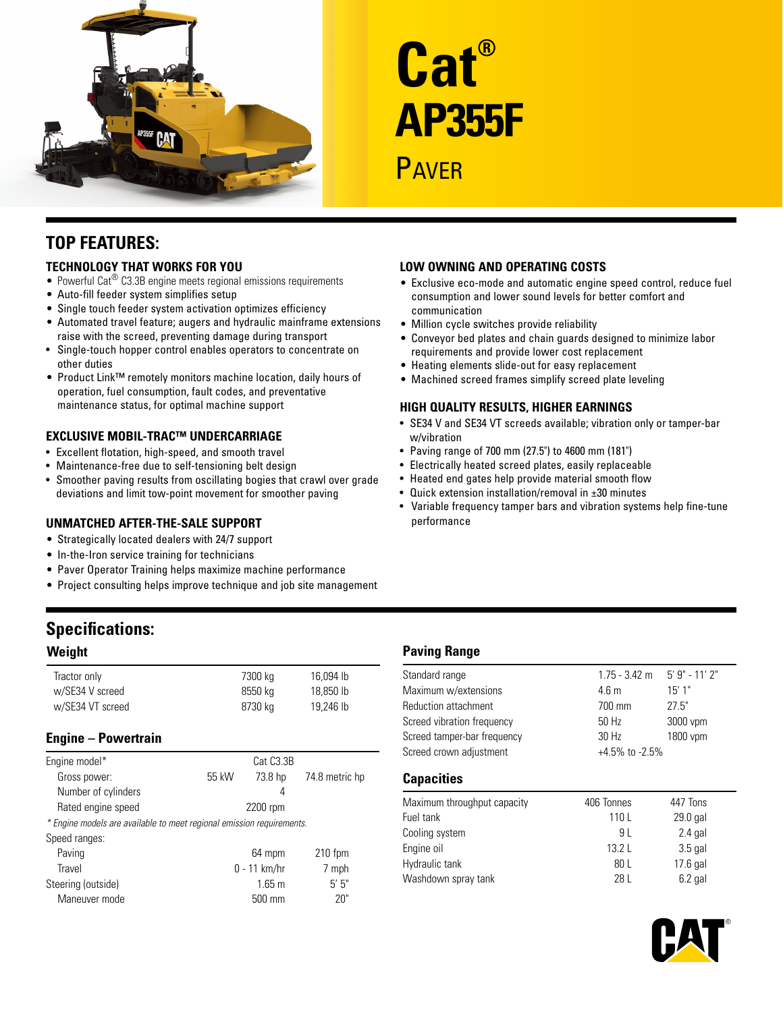

# **Cat® AP355F** PAVFR

# **Top Features:**

### **Technology That Works for You**

- Powerful Cat<sup>®</sup> C3.3B engine meets regional emissions requirements
- Auto-fill feeder system simplifies setup
- Single touch feeder system activation optimizes efficiency
- Automated travel feature; augers and hydraulic mainframe extensions raise with the screed, preventing damage during transport
- • Single-touch hopper control enables operators to concentrate on other duties
- Product Link™ remotely monitors machine location, daily hours of operation, fuel consumption, fault codes, and preventative maintenance status, for optimal machine support

## **Exclusive Mobil-Trac™ Undercarriage**

- Excellent flotation, high-speed, and smooth travel
- Maintenance-free due to self-tensioning belt design
- Smoother paving results from oscillating bogies that crawl over grade deviations and limit tow-point movement for smoother paving

#### **Unmatched After-the-Sale Support**

- Strategically located dealers with 24/7 support
- In-the-Iron service training for technicians
- Paver Operator Training helps maximize machine performance
- Project consulting helps improve technique and job site management

# **Specifications:**

#### **Weight**

| Tractor only     | 7300 kg | 16.094 lb |
|------------------|---------|-----------|
| w/SE34 V screed  | 8550 kg | 18.850 lb |
| w/SE34 VT screed | 8730 kg | 19.246 lb |

# **Engine – Powertrain**

| Engine model*                                                         |       | Cat C <sub>3</sub> .3B |                |
|-----------------------------------------------------------------------|-------|------------------------|----------------|
| Gross power:                                                          | 55 kW | 73.8 hp                | 74.8 metric hp |
| Number of cylinders                                                   |       | 4                      |                |
| Rated engine speed                                                    |       | 2200 rpm               |                |
| * Engine models are available to meet regional emission requirements. |       |                        |                |
| Speed ranges:                                                         |       |                        |                |
| Paving                                                                |       | 64 mpm                 | $210$ fpm      |
| Travel                                                                |       | $0 - 11$ km/hr         | 7 mph          |
| Steering (outside)                                                    |       | $1.65 \text{ m}$       | 5'5''          |
| Maneuver mode                                                         |       | 500 mm                 | 20"            |
|                                                                       |       |                        |                |

#### **Low Owning and Operating Costs**

- Exclusive eco-mode and automatic engine speed control, reduce fuel consumption and lower sound levels for better comfort and communication
- Million cycle switches provide reliability
- • Conveyor bed plates and chain guards designed to minimize labor requirements and provide lower cost replacement
- Heating elements slide-out for easy replacement
- Machined screed frames simplify screed plate leveling

### **High Quality Results, Higher Earnings**

- SE34 V and SE34 VT screeds available; vibration only or tamper-bar w/vibration
- • Paving range of 700 mm (27.5") to 4600 mm (181")
- Electrically heated screed plates, easily replaceable
- Heated end gates help provide material smooth flow
- Quick extension installation/removal in  $\pm 30$  minutes
- • Variable frequency tamper bars and vibration systems help fine-tune performance

# **Paving Range**

| Standard range              | $1.75 - 3.42$ m  | 5' 9" - 11' 2"       |  |
|-----------------------------|------------------|----------------------|--|
| Maximum w/extensions        | 4.6 <sub>m</sub> | 15'1"                |  |
| Reduction attachment        | 700 mm           | 27.5"                |  |
| Screed vibration frequency  | 50 Hz            | 3000 vpm             |  |
| Screed tamper-bar frequency | 30 Hz            | 1800 vpm             |  |
| Screed crown adjustment     |                  | $+4.5\%$ to $-2.5\%$ |  |
|                             |                  |                      |  |

## **Capacities**

| Maximum throughput capacity | 406 Tonnes | 447 Tons  |
|-----------------------------|------------|-----------|
| Fuel tank                   | 110 L      | 29.0 gal  |
| Cooling system              | 91         | $2.4$ gal |
| Engine oil                  | 13.2L      | $3.5$ gal |
| Hydraulic tank              | 80 L       | 17.6 gal  |
| Washdown spray tank         | 28 L       | $6.2$ gal |